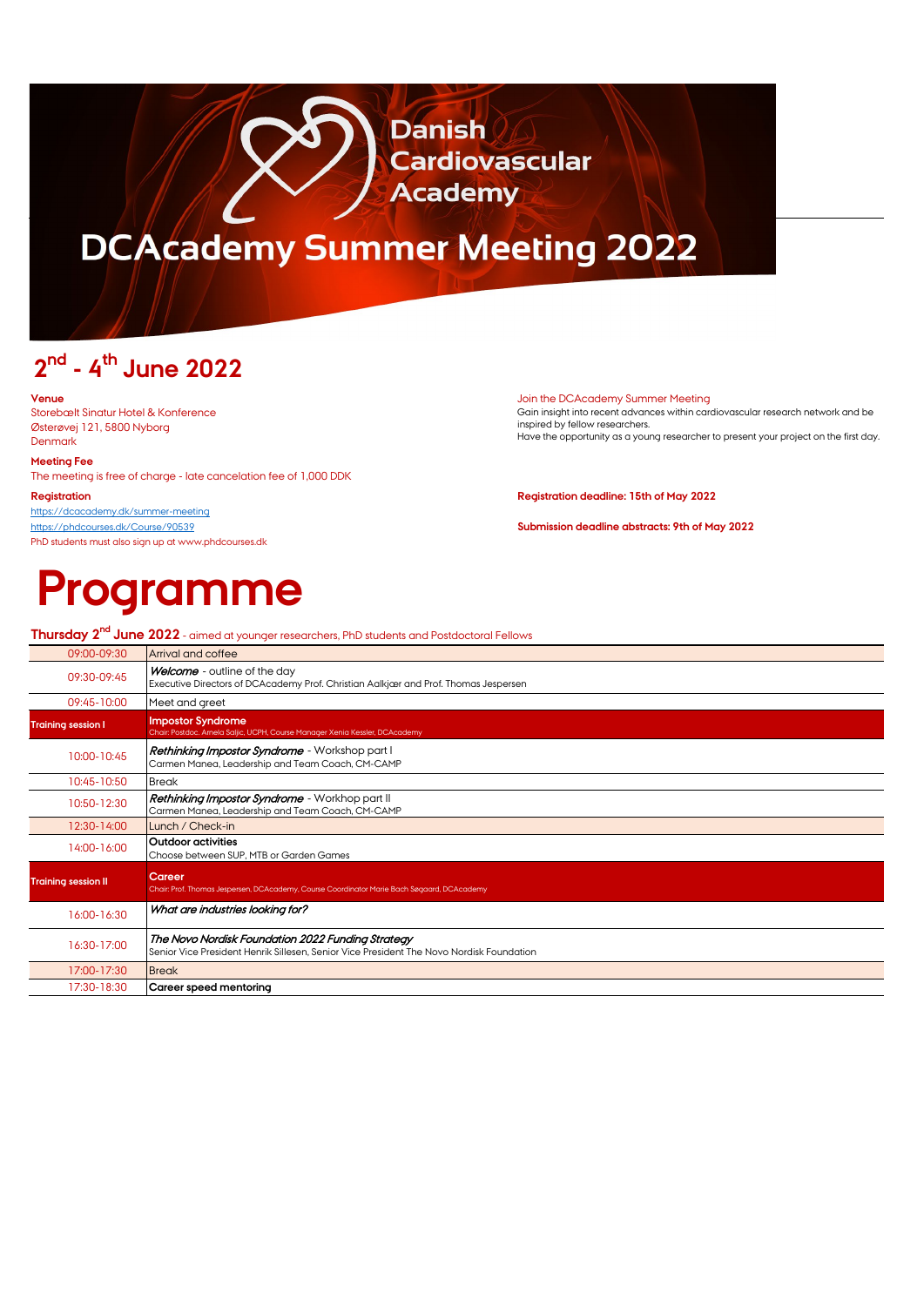# DCACADEMY SUMMER MEETING 2022

**Danish** 

**Academy** 

**Cardiovascular** 

## **2nd - 4th June 2022**

Storebælt Sinatur Hotel & Konference Østerøvej 121, 5800 Nyborg Denmark

### **Meeting Fee**

The meeting is free of charge - late cancelation fee of 1,000 DDK

<https://dcacademy.dk/summer-meeting> <https://phdcourses.dk/Course/90539> **Submission deadline abstracts: 9th of May 2022** PhD students must also sign up at www.phdcourses.dk

# **Programme**

### **Venue** Join the DCAcademy Summer Meeting

Gain insight into recent advances within cardiovascular research network and be inspired by fellow researchers. Have the opportunity as a young researcher to present your project on the first day.

### **Registration Registration deadline: 15th of May 2022**

| <b>Thursday 2<sup>nd</sup> June 2022</b> - aimed at younger researchers, PhD students and Postdoctoral Fellows                                |  |  |  |  |
|-----------------------------------------------------------------------------------------------------------------------------------------------|--|--|--|--|
| Arrival and coffee                                                                                                                            |  |  |  |  |
| Welcome - outline of the day<br>Executive Directors of DCAcademy Prof. Christian Aalkjær and Prof. Thomas Jespersen                           |  |  |  |  |
| Meet and greet                                                                                                                                |  |  |  |  |
| <b>Impostor Syndrome</b><br>Chair: Postdoc. Arnela Saljic, UCPH, Course Manager Xenia Kessler, DCAcademy                                      |  |  |  |  |
| <b>Rethinking Impostor Syndrome</b> - Workshop part I<br>Carmen Manea, Leadership and Team Coach, CM-CAMP                                     |  |  |  |  |
| <b>Break</b>                                                                                                                                  |  |  |  |  |
| <b>Rethinking Impostor Syndrome</b> - Workhop part II<br>Carmen Manea, Leadership and Team Coach, CM-CAMP                                     |  |  |  |  |
| Lunch / Check-in                                                                                                                              |  |  |  |  |
| <b>Outdoor activities</b><br>Choose between SUP, MTB or Garden Games                                                                          |  |  |  |  |
| Career<br>Chair: Prof. Thomas Jespersen, DCAcademy, Course Coordinator Marie Bach Søgaard, DCAcademy                                          |  |  |  |  |
| What are industries looking for?                                                                                                              |  |  |  |  |
| The Novo Nordisk Foundation 2022 Funding Strategy<br>Senior Vice President Henrik Sillesen, Senior Vice President The Novo Nordisk Foundation |  |  |  |  |
| <b>Break</b>                                                                                                                                  |  |  |  |  |
| Career speed mentoring                                                                                                                        |  |  |  |  |
|                                                                                                                                               |  |  |  |  |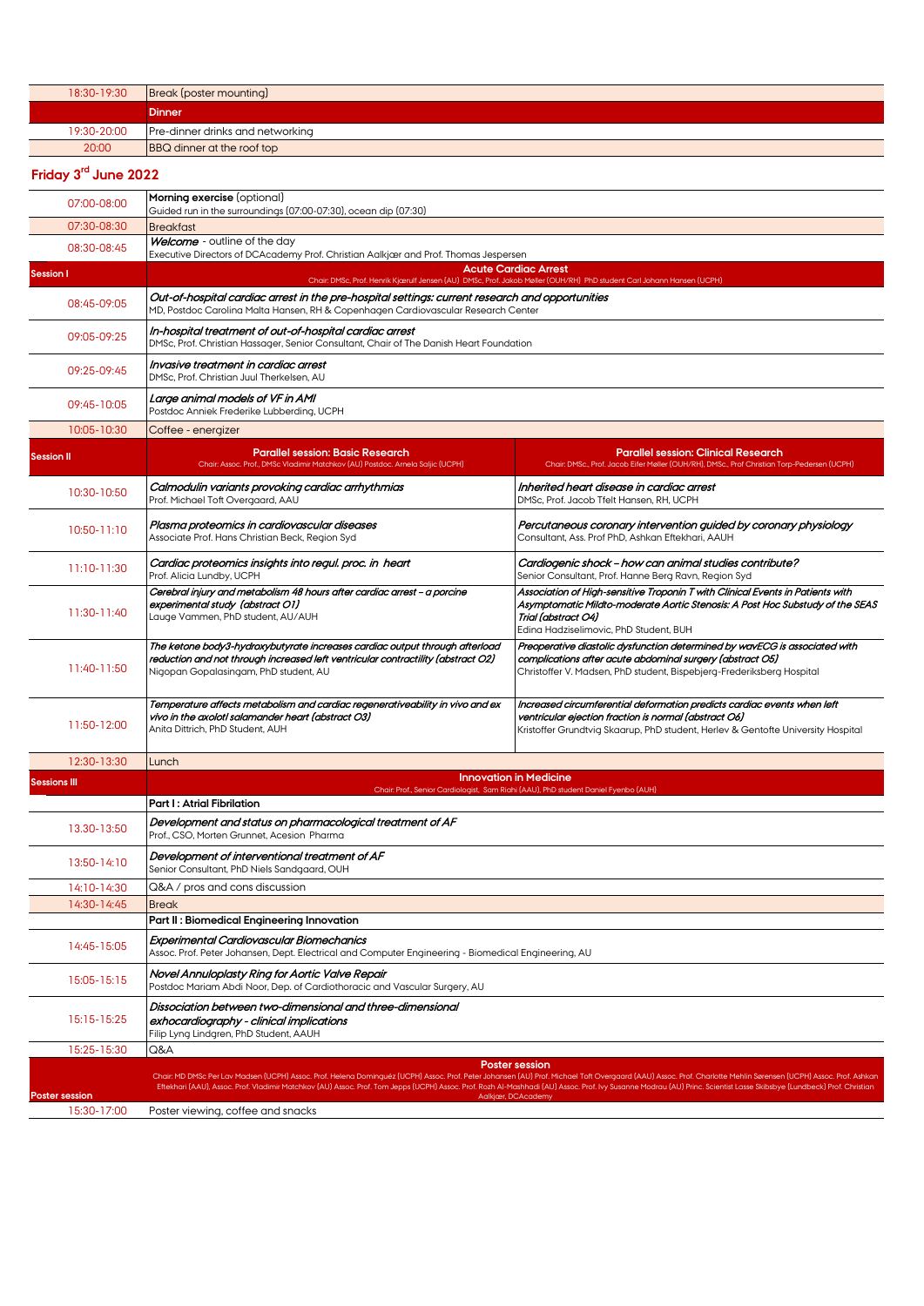| 18:30-19:30 | Break (poster mounting)           |
|-------------|-----------------------------------|
|             | <b>Dinner</b>                     |
| 19:30-20:00 | Pre-dinner drinks and networking  |
| 20:00       | <b>BBQ</b> dinner at the roof top |

### **Friday 3rd June 2022**

| 07:00-08:00                          | Morning exercise (optional)<br>Guided run in the surroundings (07:00-07:30), ocean dip (07:30)                                                                                                                                                                                                                |                                                                                                                                                                                                                                                                                                                                                                                                                                                                                         |  |
|--------------------------------------|---------------------------------------------------------------------------------------------------------------------------------------------------------------------------------------------------------------------------------------------------------------------------------------------------------------|-----------------------------------------------------------------------------------------------------------------------------------------------------------------------------------------------------------------------------------------------------------------------------------------------------------------------------------------------------------------------------------------------------------------------------------------------------------------------------------------|--|
| 07:30-08:30                          | <b>Breakfast</b>                                                                                                                                                                                                                                                                                              |                                                                                                                                                                                                                                                                                                                                                                                                                                                                                         |  |
| 08:30-08:45                          | Welcome - outline of the day<br>Executive Directors of DCAcademy Prof. Christian Aalkjær and Prof. Thomas Jespersen                                                                                                                                                                                           |                                                                                                                                                                                                                                                                                                                                                                                                                                                                                         |  |
| <b>Session I</b>                     | <b>Acute Cardiac Arrest</b>                                                                                                                                                                                                                                                                                   |                                                                                                                                                                                                                                                                                                                                                                                                                                                                                         |  |
| 08:45-09:05                          | Chair: DMSc, Prof. Henrik Kjærulf Jensen (AU) DMSc, Prof. Jakob Møller (OUH/RH) PhD student Carl Johann Hansen (UCPH)<br>Out-of-hospital cardiac arrest in the pre-hospital settings: current research and opportunities<br>MD, Postdoc Carolina Malta Hansen, RH & Copenhagen Cardiovascular Research Center |                                                                                                                                                                                                                                                                                                                                                                                                                                                                                         |  |
| 09:05-09:25                          | In-hospital treatment of out-of-hospital cardiac arrest<br>DMSc, Prof. Christian Hassager, Senior Consultant, Chair of The Danish Heart Foundation                                                                                                                                                            |                                                                                                                                                                                                                                                                                                                                                                                                                                                                                         |  |
| 09:25-09:45                          | Invasive treatment in cardiac arrest<br>DMSc, Prof. Christian Juul Therkelsen, AU                                                                                                                                                                                                                             |                                                                                                                                                                                                                                                                                                                                                                                                                                                                                         |  |
| 09:45-10:05                          | Large animal models of VF in AMI<br>Postdoc Anniek Frederike Lubberding, UCPH                                                                                                                                                                                                                                 |                                                                                                                                                                                                                                                                                                                                                                                                                                                                                         |  |
| 10:05-10:30                          | Coffee - energizer                                                                                                                                                                                                                                                                                            |                                                                                                                                                                                                                                                                                                                                                                                                                                                                                         |  |
| <b>Session II</b>                    | <b>Parallel session: Basic Research</b><br>Chair: Assoc. Prof., DMSc Vladimir Matchkov (AU) Postdoc. Arnela Saljic (UCPH)                                                                                                                                                                                     | <b>Parallel session: Clinical Research</b><br>Chair: DMSc., Prof. Jacob Eifer Møller (OUH/RH), DMSc., Prof Christian Torp-Pedersen (UCPH)                                                                                                                                                                                                                                                                                                                                               |  |
| 10:30-10:50                          | Calmodulin variants provoking cardiac arrhythmias<br>Prof. Michael Toft Overgaard, AAU                                                                                                                                                                                                                        | Inherited heart disease in cardiac arrest<br>DMSc. Prof. Jacob Tfelt Hansen, RH, UCPH                                                                                                                                                                                                                                                                                                                                                                                                   |  |
| 10:50-11:10                          | Plasma proteomics in cardiovascular diseases<br>Associate Prof. Hans Christian Beck, Region Syd                                                                                                                                                                                                               | Percutaneous coronary intervention quided by coronary physiology<br>Consultant, Ass. Prof PhD, Ashkan Eftekhari, AAUH                                                                                                                                                                                                                                                                                                                                                                   |  |
| 11:10-11:30                          | Cardiac proteomics insights into regul. proc. in heart<br>Prof. Alicia Lundby, UCPH                                                                                                                                                                                                                           | Cardiogenic shock - how can animal studies contribute?<br>Senior Consultant, Prof. Hanne Berg Ravn, Region Syd                                                                                                                                                                                                                                                                                                                                                                          |  |
| 11:30-11:40                          | Cerebral injury and metabolism 48 hours after cardiac arrest – a porcine<br>experimental study (abstract O1)<br>Lauge Vammen, PhD student, AU/AUH                                                                                                                                                             | Association of High-sensitive Troponin T with Clinical Events in Patients with<br>Asymptomatic Mildto-moderate Aortic Stenosis: A Post Hoc Substudy of the SEAS<br>Trial (abstract O4)<br>Edina Hadziselimovic, PhD Student, BUH                                                                                                                                                                                                                                                        |  |
| 11:40-11:50                          | The ketone body3-hydroxybutyrate increases cardiac output through afterload<br>reduction and not through increased left ventricular contractility (abstract O2)<br>Nigopan Gopalasingam, PhD student, AU                                                                                                      | Preoperative diastolic dysfunction determined by wavECG is associated with<br>complications after acute abdominal surgery (abstract O5)<br>Christoffer V. Madsen, PhD student, Bispebjerg-Frederiksberg Hospital                                                                                                                                                                                                                                                                        |  |
| 11:50-12:00                          | Temperature affects metabolism and cardiac regenerativeability in vivo and ex<br>vivo in the axolotl salamander heart (abstract O3)<br>Anita Dittrich, PhD Student, AUH                                                                                                                                       | Increased circumferential deformation predicts cardiac events when left<br>ventricular ejection fraction is normal (abstract O6)<br>Kristoffer Grundtvig Skaarup, PhD student, Herlev & Gentofte University Hospital                                                                                                                                                                                                                                                                    |  |
| 12:30-13:30                          | Lunch                                                                                                                                                                                                                                                                                                         |                                                                                                                                                                                                                                                                                                                                                                                                                                                                                         |  |
| <b>Sessions III</b>                  |                                                                                                                                                                                                                                                                                                               | <b>Innovation in Medicine</b>                                                                                                                                                                                                                                                                                                                                                                                                                                                           |  |
|                                      | Part I: Atrial Fibrilation                                                                                                                                                                                                                                                                                    | Chair: Prof., Senior Cardiologist, Sam Riahi (AAU), PhD student Daniel Fyenbo (AUH)                                                                                                                                                                                                                                                                                                                                                                                                     |  |
| 13.30-13:50                          | Development and status on pharmacological treatment of AF<br>Prof., CSO, Morten Grunnet, Acesion Pharma                                                                                                                                                                                                       |                                                                                                                                                                                                                                                                                                                                                                                                                                                                                         |  |
| 13:50-14:10                          | Development of interventional treatment of AF<br>Senior Consultant, PhD Niels Sandgaard, OUH                                                                                                                                                                                                                  |                                                                                                                                                                                                                                                                                                                                                                                                                                                                                         |  |
| 14:10-14:30                          | Q&A / pros and cons discussion                                                                                                                                                                                                                                                                                |                                                                                                                                                                                                                                                                                                                                                                                                                                                                                         |  |
| 14:30-14:45                          | <b>Break</b>                                                                                                                                                                                                                                                                                                  |                                                                                                                                                                                                                                                                                                                                                                                                                                                                                         |  |
|                                      | Part II: Biomedical Engineering Innovation                                                                                                                                                                                                                                                                    |                                                                                                                                                                                                                                                                                                                                                                                                                                                                                         |  |
| 14:45-15:05                          | Experimental Cardiovascular Biomechanics<br>Assoc. Prof. Peter Johansen, Dept. Electrical and Computer Engineering - Biomedical Engineering, AU                                                                                                                                                               |                                                                                                                                                                                                                                                                                                                                                                                                                                                                                         |  |
| 15:05-15:15                          | Novel Annuloplasty Ring for Aortic Valve Repair<br>Postdoc Mariam Abdi Noor, Dep. of Cardiothoracic and Vascular Surgery, AU                                                                                                                                                                                  |                                                                                                                                                                                                                                                                                                                                                                                                                                                                                         |  |
| 15:15-15:25                          | Dissociation between two-dimensional and three-dimensional<br>exhocardiography - clinical implications<br>Filip Lyng Lindgren, PhD Student, AAUH                                                                                                                                                              |                                                                                                                                                                                                                                                                                                                                                                                                                                                                                         |  |
| 15:25-15:30                          | Q&A                                                                                                                                                                                                                                                                                                           |                                                                                                                                                                                                                                                                                                                                                                                                                                                                                         |  |
|                                      |                                                                                                                                                                                                                                                                                                               | <b>Poster session</b><br>Chair: MD DMSc Per Lav Madsen (UCPH) Assoc. Prof. Helena Dominguéz (UCPH) Assoc. Prof. Peter Johansen (AU) Prof. Michael Toft Overgaard (AAU) Assoc. Prof. Charlotte Mehlin Sørensen (UCPH) Assoc. Prof. Ashkan<br>Eftekhari (AAU), Assoc. Prof. Vladimir Matchkov (AU) Assoc. Prof. Tom Jepps (UCPH) Assoc. Prof. Rozh Al-Mashhadi (AU) Assoc. Prof. Ivy Susanne Modrau (AU) Princ. Scientist Lasse Skibsbye (Lundbeck) Prof. Christian<br>Aalkjær, DCAcademy |  |
| <b>Poster session</b><br>15:30-17:00 | Poster viewing, coffee and snacks                                                                                                                                                                                                                                                                             |                                                                                                                                                                                                                                                                                                                                                                                                                                                                                         |  |
|                                      |                                                                                                                                                                                                                                                                                                               |                                                                                                                                                                                                                                                                                                                                                                                                                                                                                         |  |